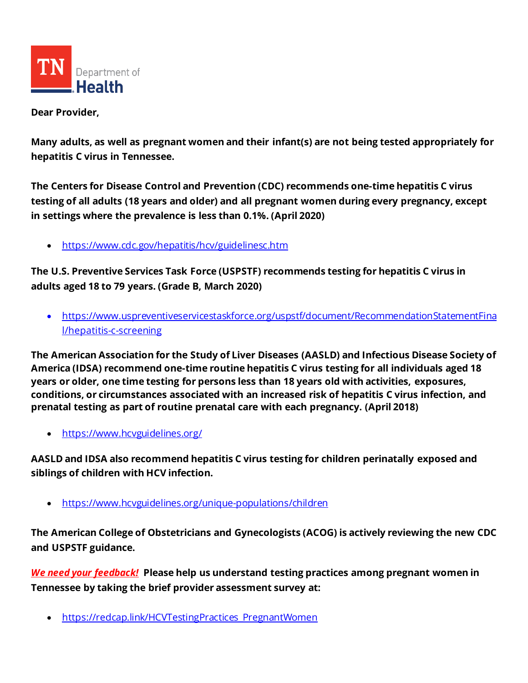

**Dear Provider,**

**Many adults, as well as pregnant women and their infant(s) are not being tested appropriately for hepatitis C virus in Tennessee.** 

**The Centers for Disease Control and Prevention (CDC) recommends one-time hepatitis C virus testing of all adults (18 years and older) and all pregnant women during every pregnancy, except in settings where the prevalence is less than 0.1%. (April 2020)**

• <https://www.cdc.gov/hepatitis/hcv/guidelinesc.htm>

**The U.S. Preventive Services Task Force (USPSTF) recommends testing for hepatitis C virus in adults aged 18 to 79 years. (Grade B, March 2020)**

• [https://www.uspreventiveservicestaskforce.org/uspstf/document/RecommendationStatementFina](https://www.uspreventiveservicestaskforce.org/uspstf/document/RecommendationStatementFinal/hepatitis-c-screening) [l/hepatitis-c-screening](https://www.uspreventiveservicestaskforce.org/uspstf/document/RecommendationStatementFinal/hepatitis-c-screening)

**The American Association for the Study of Liver Diseases (AASLD) and Infectious Disease Society of America (IDSA) recommend one-time routine hepatitis C virus testing for all individuals aged 18 years or older, one time testing for persons less than 18 years old with activities, exposures, conditions, or circumstances associated with an increased risk of hepatitis C virus infection, and prenatal testing as part of routine prenatal care with each pregnancy. (April 2018)**

• <https://www.hcvguidelines.org/>

**AASLD and IDSA also recommend hepatitis C virus testing for children perinatally exposed and siblings of children with HCV infection.**

• <https://www.hcvguidelines.org/unique-populations/children>

**The American College of Obstetricians and Gynecologists (ACOG) is actively reviewing the new CDC and USPSTF guidance.**

*We need your feedback!* **Please help us understand testing practices among pregnant women in Tennessee by taking the brief provider assessment survey at:** 

• [https://redcap.link/HCVTestingPractices\\_PregnantWomen](https://redcap.link/HCVTestingPractices_PregnantWomen)